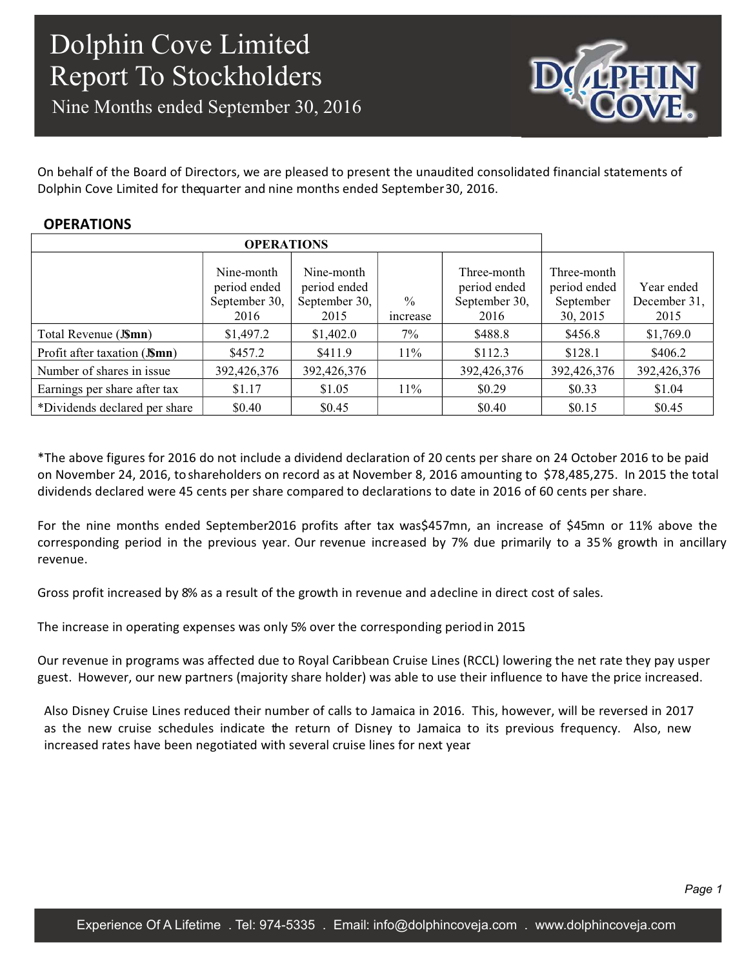Nine Months ended September 30, 2016



On behalf of the Board of Directors, we are pleased to present the unaudited consolidated financial statements of Dolphin Cove Limited for thequarter and nine months ended September30, 2016.

#### **OPERATIONS**

| <b>OPERATIONS</b>             |                                                     |                                                     |                           |                                                      |                                                      |                                    |
|-------------------------------|-----------------------------------------------------|-----------------------------------------------------|---------------------------|------------------------------------------------------|------------------------------------------------------|------------------------------------|
|                               | Nine-month<br>period ended<br>September 30,<br>2016 | Nine-month<br>period ended<br>September 30,<br>2015 | $\frac{0}{0}$<br>increase | Three-month<br>period ended<br>September 30,<br>2016 | Three-month<br>period ended<br>September<br>30, 2015 | Year ended<br>December 31,<br>2015 |
| Total Revenue (J\$mn)         | \$1,497.2                                           | \$1,402.0                                           | $7\%$                     | \$488.8                                              | \$456.8                                              | \$1,769.0                          |
| Profit after taxation (JSmn)  | \$457.2                                             | \$411.9                                             | $11\%$                    | \$112.3                                              | \$128.1                                              | \$406.2                            |
| Number of shares in issue     | 392,426,376                                         | 392,426,376                                         |                           | 392,426,376                                          | 392,426,376                                          | 392,426,376                        |
| Earnings per share after tax  | \$1.17                                              | \$1.05                                              | $11\%$                    | \$0.29                                               | \$0.33                                               | \$1.04                             |
| *Dividends declared per share | \$0.40                                              | \$0.45                                              |                           | \$0.40                                               | \$0.15                                               | \$0.45                             |

\*The above figures for 2016 do not include a dividend declaration of 20 cents per share on 24 October 2016 to be paid on November 24, 2016, to shareholders on record as at November 8, 2016 amounting to \$78,485,275. In 2015 the total dividends declared were 45 cents per share compared to declarations to date in 2016 of 60 cents per share.

For the nine months ended September2016 profits after tax was\$457mn, an increase of \$45mn or 11% above the corresponding period in the previous year. Our revenue increased by 7% due primarily to a 35% growth in ancillary revenue.

Gross profit increased by 8% as a result of the growth in revenue and a decline in direct cost of sales.

The increase in operating expenses was only 5% over the corresponding period in 2015.

Our revenue in programs was affected due to Royal Caribbean Cruise Lines (RCCL) lowering the net rate they pay us per guest. However, our new partners (majority share holder) was able to use their influence to have the price increased.

Also Disney Cruise Lines reduced their number of calls to Jamaica in 2016. This, however, will be reversed in 2017 as the new cruise schedules indicate the return of Disney to Jamaica to its previous frequency. Also, new increased rates have been negotiated with several cruise lines for next year.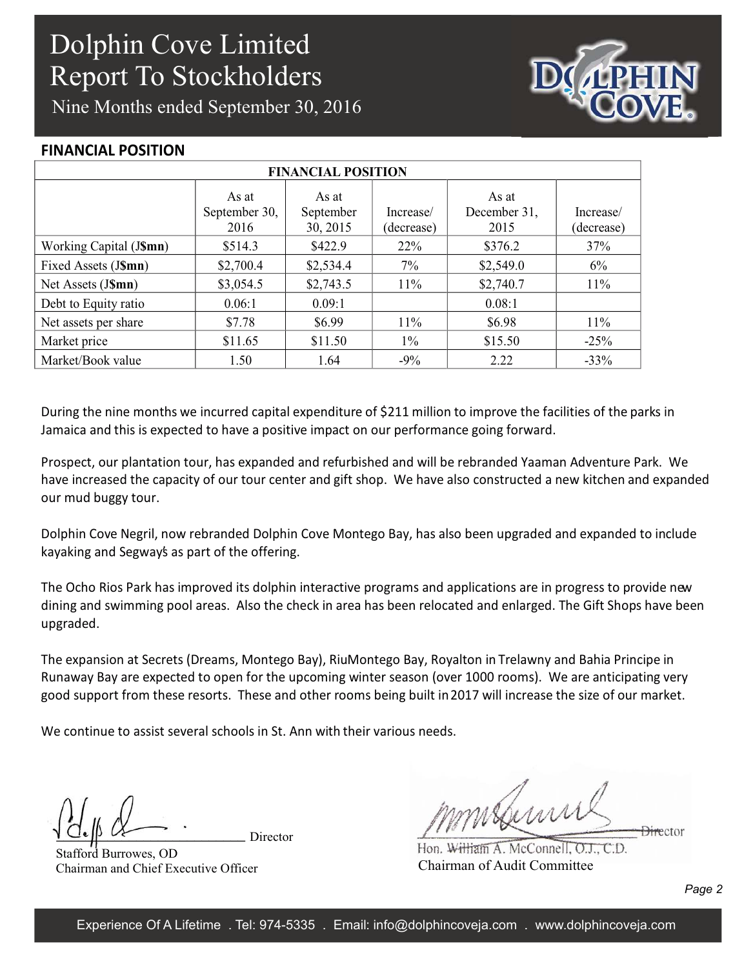Nine Months ended September 30, 2016



#### **FINANCIAL POSITION**

| <b>FINANCIAL POSITION</b> |                                |                                |                         |                               |                         |  |  |
|---------------------------|--------------------------------|--------------------------------|-------------------------|-------------------------------|-------------------------|--|--|
|                           | As at<br>September 30,<br>2016 | As at<br>September<br>30, 2015 | Increase/<br>(decrease) | As at<br>December 31,<br>2015 | Increase/<br>(decrease) |  |  |
| Working Capital (J\$mn)   | \$514.3                        | \$422.9                        | $22\%$                  | \$376.2                       | 37%                     |  |  |
| Fixed Assets (J\$mn)      | \$2,700.4                      | \$2,534.4                      | $7\%$                   | \$2,549.0                     | 6%                      |  |  |
| Net Assets (J\$mn)        | \$3,054.5                      | \$2,743.5                      | 11%                     | \$2,740.7                     | 11%                     |  |  |
| Debt to Equity ratio      | 0.06:1                         | 0.09:1                         |                         | 0.08:1                        |                         |  |  |
| Net assets per share      | \$7.78                         | \$6.99                         | $11\%$                  | \$6.98                        | $11\%$                  |  |  |
| Market price              | \$11.65                        | \$11.50                        | $1\%$                   | \$15.50                       | $-25%$                  |  |  |
| Market/Book value         | 1.50                           | 1.64                           | $-9\%$                  | 2.22                          | $-33%$                  |  |  |

During the nine months we incurred capital expenditure of \$211 million to improve the facilities of the parks in Jamaica and this is expected to have a positive impact on our performance going forward.

Prospect, our plantation tour, has expanded and refurbished and will be rebranded Yaaman Adventure Park. We have increased the capacity of our tour center and gift shop. We have also constructed a new kitchen and expanded our mud buggy tour.

Dolphin Cove Negril, now rebranded Dolphin Cove Montego Bay, has also been upgraded and expanded to include kayaking and Segway's as part of the offering.

The Ocho Rios Park has improved its dolphin interactive programs and applications are in progress to provide new dining and swimming pool areas. Also the check in area has been relocated and enlarged. The Gift Shops have been upgraded.

The expansion at Secrets (Dreams, Montego Bay), RiuMontego Bay, Royalton in Trelawny and Bahia Principe in Runaway Bay are expected to open for the upcoming winter season (over 1000 rooms). We are anticipating very good support from these resorts. These and other rooms being built in 2017 will increase the size of our market.

We continue to assist several schools in St. Ann with their various needs.

Director

Stafford Burrowes, OD Chairman and Chief Executive Officer

mishinn **Director** 

Hon. William A. McConnell, O.J., C.D. Chairman of Audit Committee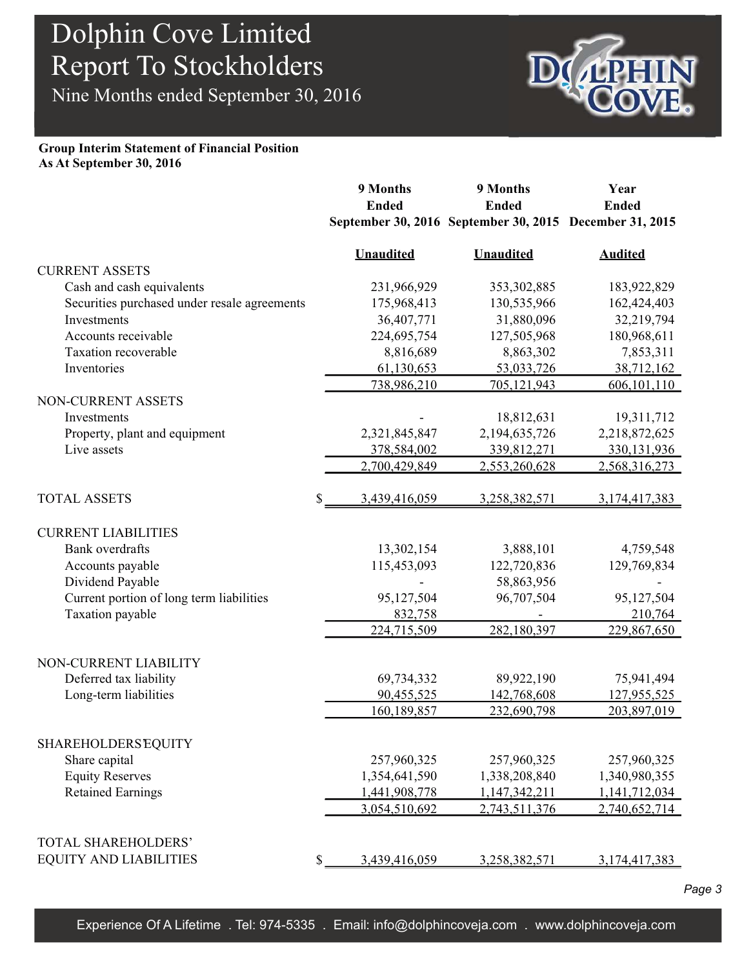Nine Months ended September 30, 2016



#### **Group Interim Statement of Financial Position As At September 30, 2016**

|                                                 |    | 9 Months         | 9 Months         | Year                                                    |
|-------------------------------------------------|----|------------------|------------------|---------------------------------------------------------|
|                                                 |    | <b>Ended</b>     | <b>Ended</b>     | <b>Ended</b>                                            |
|                                                 |    |                  |                  | September 30, 2016 September 30, 2015 December 31, 2015 |
|                                                 |    | <b>Unaudited</b> | <b>Unaudited</b> | <b>Audited</b>                                          |
| <b>CURRENT ASSETS</b>                           |    |                  |                  |                                                         |
| Cash and cash equivalents                       |    | 231,966,929      | 353, 302, 885    | 183,922,829                                             |
| Securities purchased under resale agreements    |    | 175,968,413      | 130,535,966      | 162,424,403                                             |
| Investments                                     |    | 36,407,771       | 31,880,096       | 32,219,794                                              |
| Accounts receivable                             |    | 224,695,754      | 127,505,968      | 180,968,611                                             |
| Taxation recoverable                            |    | 8,816,689        | 8,863,302        | 7,853,311                                               |
| Inventories                                     |    | 61,130,653       | 53,033,726       | 38,712,162                                              |
|                                                 |    | 738,986,210      | 705,121,943      | 606, 101, 110                                           |
| NON-CURRENT ASSETS                              |    |                  |                  |                                                         |
| Investments                                     |    |                  | 18,812,631       | 19,311,712                                              |
| Property, plant and equipment                   |    | 2,321,845,847    | 2,194,635,726    | 2,218,872,625                                           |
| Live assets                                     |    | 378,584,002      | 339,812,271      | 330, 131, 936                                           |
|                                                 |    | 2,700,429,849    | 2,553,260,628    | 2,568,316,273                                           |
| <b>TOTAL ASSETS</b>                             | S  | 3,439,416,059    | 3,258,382,571    | 3, 174, 417, 383                                        |
| <b>CURRENT LIABILITIES</b>                      |    |                  |                  |                                                         |
| <b>Bank</b> overdrafts                          |    | 13,302,154       | 3,888,101        | 4,759,548                                               |
| Accounts payable                                |    | 115,453,093      | 122,720,836      | 129,769,834                                             |
| Dividend Payable                                |    |                  | 58,863,956       |                                                         |
| Current portion of long term liabilities        |    | 95,127,504       | 96,707,504       | 95,127,504                                              |
| Taxation payable                                |    | 832,758          |                  | 210,764                                                 |
|                                                 |    | 224,715,509      | 282,180,397      | 229,867,650                                             |
|                                                 |    |                  |                  |                                                         |
| NON-CURRENT LIABILITY<br>Deferred tax liability |    | 69,734,332       | 89,922,190       | 75,941,494                                              |
| Long-term liabilities                           |    | 90,455,525       | 142,768,608      | 127,955,525                                             |
|                                                 |    | 160,189,857      | 232,690,798      | 203,897,019                                             |
| <b>SHAREHOLDERS EQUITY</b>                      |    |                  |                  |                                                         |
| Share capital                                   |    | 257,960,325      | 257,960,325      | 257,960,325                                             |
| <b>Equity Reserves</b>                          |    | 1,354,641,590    | 1,338,208,840    | 1,340,980,355                                           |
| <b>Retained Earnings</b>                        |    | 1,441,908,778    | 1,147,342,211    | 1,141,712,034                                           |
|                                                 |    | 3,054,510,692    | 2,743,511,376    | 2,740,652,714                                           |
|                                                 |    |                  |                  |                                                         |
| TOTAL SHAREHOLDERS'                             |    |                  |                  |                                                         |
| <b>EQUITY AND LIABILITIES</b>                   | \$ | 3,439,416,059    | 3,258,382,571    | 3, 174, 417, 383                                        |

*Page 3*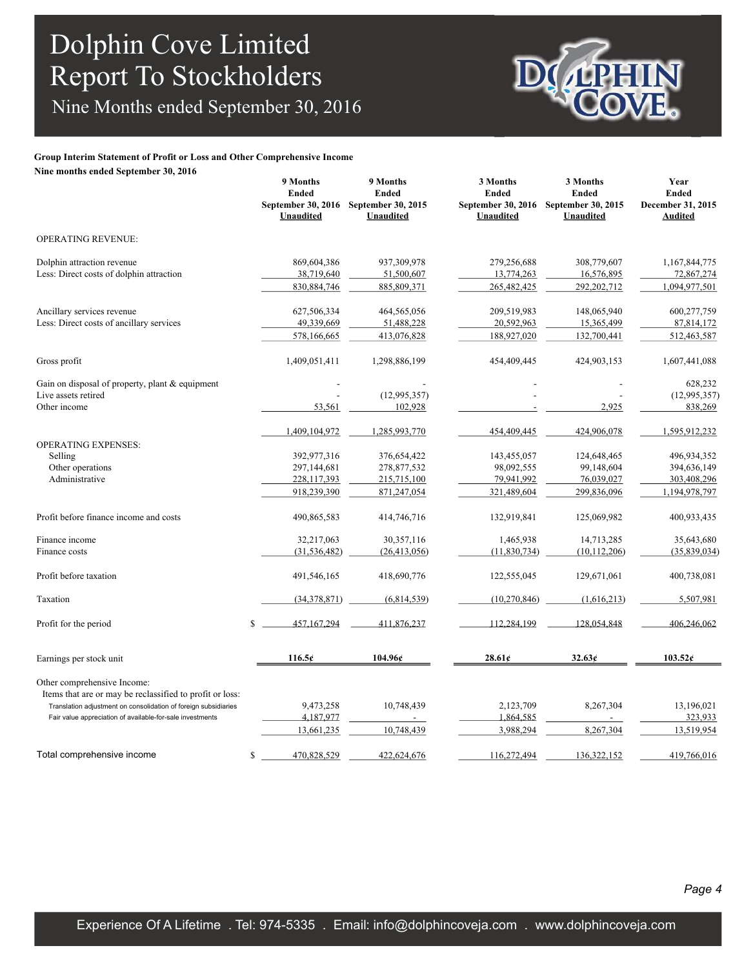Nine Months ended September 30, 2016

#### **Group Interim Statement of Profit or Loss and Other Comprehensive Income**

**Nine months ended September 30, 2016**

|                                                                                         | 9 Months<br><b>Ended</b><br>September 30, 2016<br><b>Unaudited</b> | 9 Months<br><b>Ended</b><br>September 30, 2015<br><b>Unaudited</b> | 3 Months<br><b>Ended</b><br>September 30, 2016<br><b>Unaudited</b> | 3 Months<br><b>Ended</b><br>September 30, 2015<br>Unaudited | Year<br><b>Ended</b><br>December 31, 2015<br><b>Audited</b> |
|-----------------------------------------------------------------------------------------|--------------------------------------------------------------------|--------------------------------------------------------------------|--------------------------------------------------------------------|-------------------------------------------------------------|-------------------------------------------------------------|
| <b>OPERATING REVENUE:</b>                                                               |                                                                    |                                                                    |                                                                    |                                                             |                                                             |
| Dolphin attraction revenue                                                              | 869,604,386                                                        | 937,309,978                                                        | 279,256,688                                                        | 308,779,607                                                 | 1,167,844,775                                               |
| Less: Direct costs of dolphin attraction                                                | 38,719,640                                                         | 51,500,607                                                         | 13,774,263                                                         | 16,576,895                                                  | 72,867,274                                                  |
|                                                                                         | 830, 884, 746                                                      | 885,809,371                                                        | 265,482,425                                                        | 292, 202, 712                                               | 1,094,977,501                                               |
| Ancillary services revenue                                                              | 627,506,334                                                        | 464,565,056                                                        | 209,519,983                                                        | 148,065,940                                                 | 600,277,759                                                 |
| Less: Direct costs of ancillary services                                                | 49,339,669                                                         | 51,488,228                                                         | 20,592,963                                                         | 15,365,499                                                  | 87,814,172                                                  |
|                                                                                         | 578,166,665                                                        | 413,076,828                                                        | 188,927,020                                                        | 132,700,441                                                 | 512,463,587                                                 |
| Gross profit                                                                            | 1,409,051,411                                                      | 1,298,886,199                                                      | 454,409,445                                                        | 424,903,153                                                 | 1,607,441,088                                               |
| Gain on disposal of property, plant & equipment                                         |                                                                    |                                                                    |                                                                    |                                                             | 628,232                                                     |
| Live assets retired                                                                     |                                                                    | (12,995,357)                                                       |                                                                    |                                                             | (12,995,357)                                                |
| Other income                                                                            | 53,561                                                             | 102,928                                                            |                                                                    | 2,925                                                       | 838,269                                                     |
|                                                                                         | 1,409,104,972                                                      | 1,285,993,770                                                      | 454,409,445                                                        | 424,906,078                                                 | 1,595,912,232                                               |
| <b>OPERATING EXPENSES:</b>                                                              |                                                                    |                                                                    |                                                                    |                                                             |                                                             |
| Selling                                                                                 | 392,977,316                                                        | 376,654,422                                                        | 143,455,057                                                        | 124,648,465                                                 | 496,934,352                                                 |
| Other operations                                                                        | 297,144,681                                                        | 278,877,532                                                        | 98,092,555                                                         | 99,148,604                                                  | 394,636,149                                                 |
| Administrative                                                                          | 228,117,393                                                        | 215,715,100                                                        | 79,941,992                                                         | 76,039,027                                                  | 303,408,296                                                 |
|                                                                                         | 918,239,390                                                        | 871,247,054                                                        | 321,489,604                                                        | 299,836,096                                                 | 1,194,978,797                                               |
| Profit before finance income and costs                                                  | 490,865,583                                                        | 414,746,716                                                        | 132,919,841                                                        | 125,069,982                                                 | 400,933,435                                                 |
| Finance income                                                                          | 32,217,063                                                         | 30, 357, 116                                                       | 1,465,938                                                          | 14,713,285                                                  | 35,643,680                                                  |
| Finance costs                                                                           | (31, 536, 482)                                                     | (26, 413, 056)                                                     | (11,830,734)                                                       | (10, 112, 206)                                              | (35, 839, 034)                                              |
| Profit before taxation                                                                  | 491,546,165                                                        | 418,690,776                                                        | 122,555,045                                                        | 129,671,061                                                 | 400,738,081                                                 |
| Taxation                                                                                | (34,378,871)                                                       | (6,814,539)                                                        | (10, 270, 846)                                                     | (1,616,213)                                                 | 5,507,981                                                   |
| Profit for the period                                                                   | S.<br>457.167.294                                                  | 411.876.237                                                        | 112.284.199                                                        | 128.054.848                                                 | 406.246.062                                                 |
| Earnings per stock unit                                                                 | 116.5c                                                             | 104.96¢                                                            | 28.61c                                                             | 32.63¢                                                      | 103.52c                                                     |
| Other comprehensive Income:<br>Items that are or may be reclassified to profit or loss: |                                                                    |                                                                    |                                                                    |                                                             |                                                             |
| Translation adjustment on consolidation of foreign subsidiaries                         | 9,473,258                                                          | 10,748,439                                                         | 2,123,709                                                          | 8,267,304                                                   | 13,196,021                                                  |
| Fair value appreciation of available-for-sale investments                               | 4,187,977                                                          |                                                                    | 1,864,585                                                          |                                                             | 323,933                                                     |
|                                                                                         | 13,661,235                                                         | 10,748,439                                                         | 3,988,294                                                          | 8,267,304                                                   | 13,519,954                                                  |
| Total comprehensive income                                                              | 470,828,529<br>\$                                                  | 422,624,676                                                        | 116,272,494                                                        | 136, 322, 152                                               | 419,766,016                                                 |
|                                                                                         |                                                                    |                                                                    |                                                                    |                                                             |                                                             |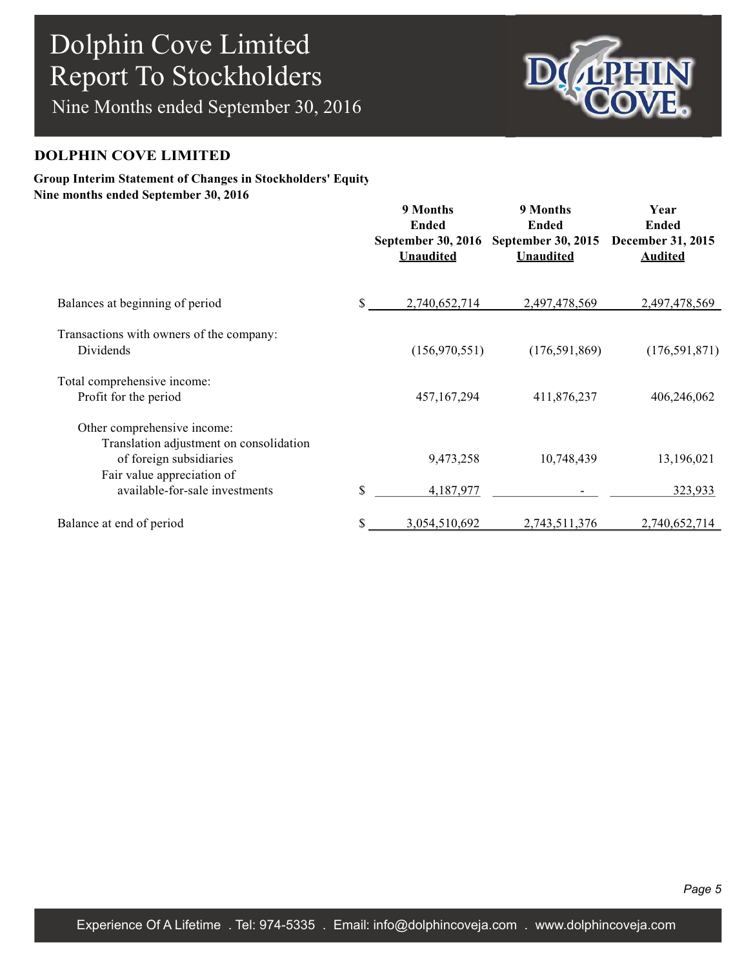Nine Months ended September 30, 2016



#### **DOLPHIN COVE LIMITED**

#### **Group Interim Statement of Changes in Stockholders' Equity Nine months ended September 30, 2016**

|                                                                                                                                 | 9 Months<br><b>Ended</b><br><b>September 30, 2016</b><br><b>Unaudited</b> | 9 Months<br><b>Ended</b><br>September 30, 2015<br><b>Unaudited</b> | Year<br><b>Ended</b><br>December 31, 2015<br><b>Audited</b> |
|---------------------------------------------------------------------------------------------------------------------------------|---------------------------------------------------------------------------|--------------------------------------------------------------------|-------------------------------------------------------------|
| Balances at beginning of period                                                                                                 | \$<br>2,740,652,714                                                       | 2,497,478,569                                                      | 2,497,478,569                                               |
| Transactions with owners of the company:<br>Dividends                                                                           | (156,970,551)                                                             | (176, 591, 869)                                                    | (176, 591, 871)                                             |
| Total comprehensive income:<br>Profit for the period                                                                            | 457,167,294                                                               | 411,876,237                                                        | 406,246,062                                                 |
| Other comprehensive income:<br>Translation adjustment on consolidation<br>of foreign subsidiaries<br>Fair value appreciation of | 9,473,258                                                                 | 10,748,439                                                         | 13,196,021                                                  |
| available-for-sale investments                                                                                                  | \$<br>4,187,977                                                           |                                                                    | 323,933                                                     |
| Balance at end of period                                                                                                        | 3,054,510,692                                                             | 2,743,511,376                                                      | 2,740,652,714                                               |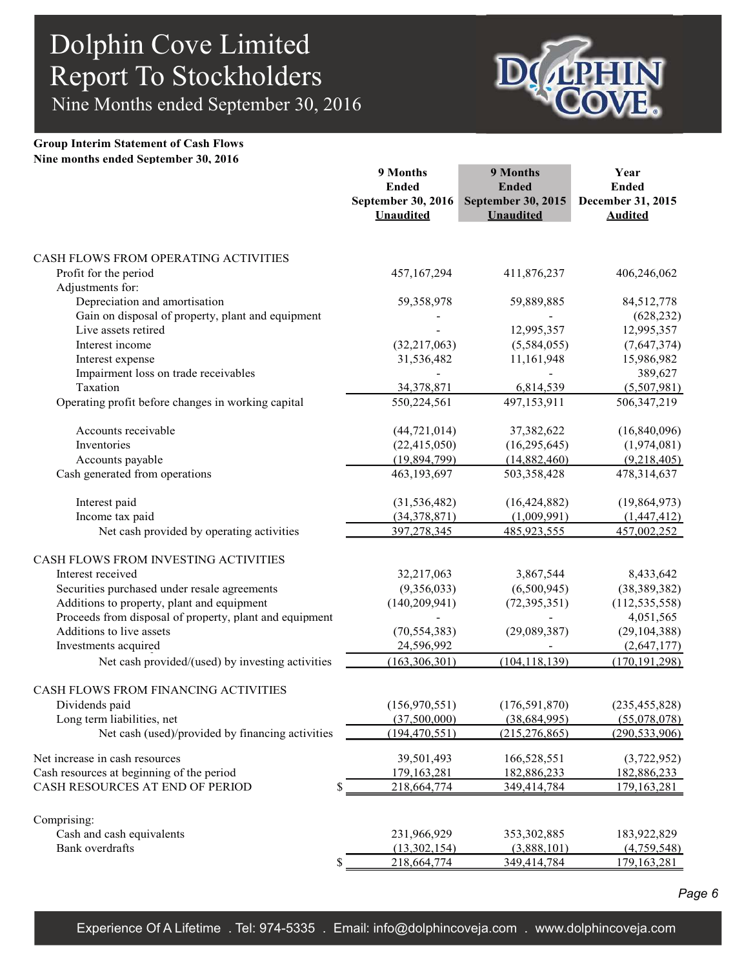Nine Months ended September 30, 2016



#### **Group Interim Statement of Cash Flows Nine months ended September 30, 2016**

|                                                                                     | 9 Months<br><b>Ended</b><br>September 30, 2016<br><b>Unaudited</b> | 9 Months<br><b>Ended</b><br><b>September 30, 2015</b><br><b>Unaudited</b> | Year<br><b>Ended</b><br>December 31, 2015<br><b>Audited</b> |
|-------------------------------------------------------------------------------------|--------------------------------------------------------------------|---------------------------------------------------------------------------|-------------------------------------------------------------|
| CASH FLOWS FROM OPERATING ACTIVITIES                                                |                                                                    |                                                                           |                                                             |
| Profit for the period                                                               | 457,167,294                                                        | 411,876,237                                                               | 406,246,062                                                 |
| Adjustments for:                                                                    |                                                                    |                                                                           |                                                             |
| Depreciation and amortisation                                                       | 59,358,978                                                         | 59,889,885                                                                | 84,512,778                                                  |
| Gain on disposal of property, plant and equipment                                   |                                                                    |                                                                           | (628, 232)                                                  |
| Live assets retired                                                                 |                                                                    | 12,995,357                                                                | 12,995,357                                                  |
| Interest income                                                                     | (32, 217, 063)                                                     | (5,584,055)                                                               | (7,647,374)                                                 |
| Interest expense                                                                    | 31,536,482                                                         | 11,161,948                                                                | 15,986,982                                                  |
| Impairment loss on trade receivables                                                |                                                                    |                                                                           | 389,627                                                     |
| Taxation                                                                            | 34,378,871                                                         | 6,814,539                                                                 | (5,507,981)                                                 |
| Operating profit before changes in working capital                                  | 550,224,561                                                        | 497,153,911                                                               | 506, 347, 219                                               |
| Accounts receivable                                                                 | (44, 721, 014)                                                     | 37,382,622                                                                | (16,840,096)                                                |
| Inventories                                                                         | (22, 415, 050)                                                     | (16, 295, 645)                                                            | (1,974,081)                                                 |
| Accounts payable                                                                    | (19,894,799)                                                       | (14,882,460)                                                              | (9,218,405)                                                 |
| Cash generated from operations                                                      | 463,193,697                                                        | 503,358,428                                                               | 478,314,637                                                 |
| Interest paid                                                                       | (31, 536, 482)                                                     | (16, 424, 882)                                                            | (19, 864, 973)                                              |
| Income tax paid                                                                     | (34,378,871)                                                       | (1,009,991)                                                               | (1,447,412)                                                 |
| Net cash provided by operating activities                                           | 397,278,345                                                        | 485,923,555                                                               | 457,002,252                                                 |
| CASH FLOWS FROM INVESTING ACTIVITIES                                                |                                                                    |                                                                           |                                                             |
| Interest received                                                                   | 32,217,063                                                         | 3,867,544                                                                 | 8,433,642                                                   |
| Securities purchased under resale agreements                                        | (9,356,033)                                                        | (6,500,945)                                                               | (38, 389, 382)                                              |
| Additions to property, plant and equipment                                          | (140, 209, 941)                                                    | (72, 395, 351)                                                            | (112, 535, 558)                                             |
| Proceeds from disposal of property, plant and equipment<br>Additions to live assets |                                                                    |                                                                           | 4,051,565                                                   |
| Investments acquired                                                                | (70, 554, 383)<br>24,596,992                                       | (29,089,387)                                                              | (29, 104, 388)<br>(2,647,177)                               |
| Net cash provided/(used) by investing activities                                    | (163, 306, 301)                                                    | (104, 118, 139)                                                           | (170, 191, 298)                                             |
|                                                                                     |                                                                    |                                                                           |                                                             |
| CASH FLOWS FROM FINANCING ACTIVITIES                                                |                                                                    |                                                                           |                                                             |
| Dividends paid                                                                      | (156, 970, 551)                                                    | (176, 591, 870)                                                           | (235, 455, 828)                                             |
| Long term liabilities, net                                                          | (37,500,000)                                                       | (38, 684, 995)                                                            | (55,078,078)                                                |
| Net cash (used)/provided by financing activities                                    | (194, 470, 551)                                                    | (215, 276, 865)                                                           | (290, 533, 906)                                             |
| Net increase in cash resources                                                      | 39,501,493                                                         | 166,528,551                                                               | (3,722,952)                                                 |
| Cash resources at beginning of the period                                           | 179,163,281                                                        | 182,886,233                                                               | 182,886,233                                                 |
| CASH RESOURCES AT END OF PERIOD<br>\$                                               | 218,664,774                                                        | 349,414,784                                                               | 179, 163, 281                                               |
| Comprising:                                                                         |                                                                    |                                                                           |                                                             |
| Cash and cash equivalents                                                           | 231,966,929                                                        | 353,302,885                                                               | 183,922,829                                                 |
| Bank overdrafts                                                                     | (13,302,154)                                                       | (3,888,101)                                                               | (4,759,548)                                                 |
| \$                                                                                  | 218,664,774                                                        | 349,414,784                                                               | 179, 163, 281                                               |

*Page 6*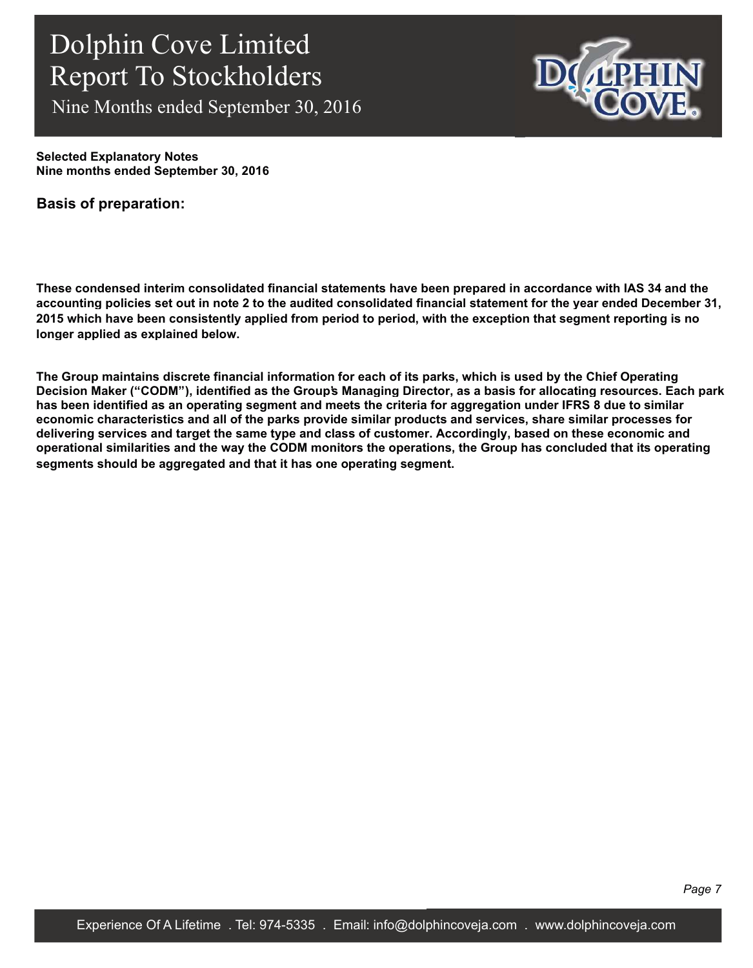Nine Months ended September 30, 2016



**Selected Explanatory Notes Nine months ended September 30, 2016**

**Basis of preparation:**

**These condensed interim consolidated financial statements have been prepared in accordance with IAS 34 and the accounting policies set out in note 2 to the audited consolidated financial statement for the year ended December 31, 2015 which have been consistently applied from period to period, with the exception that segment reporting is no longer applied as explained below.**

**The Group maintains discrete financial information for each of its parks, which is used by the Chief Operating Decision Maker ("CODM"), identified as the Group's Managing Director, as a basis for allocating resources. Each park has been identified as an operating segment and meets the criteria for aggregation under IFRS 8 due to similar economic characteristics and all of the parks provide similar products and services, share similar processes for delivering services and target the same type and class of customer. Accordingly, based on these economic and operational similarities and the way the CODM monitors the operations, the Group has concluded that its operating segments should be aggregated and that it has one operating segment.**